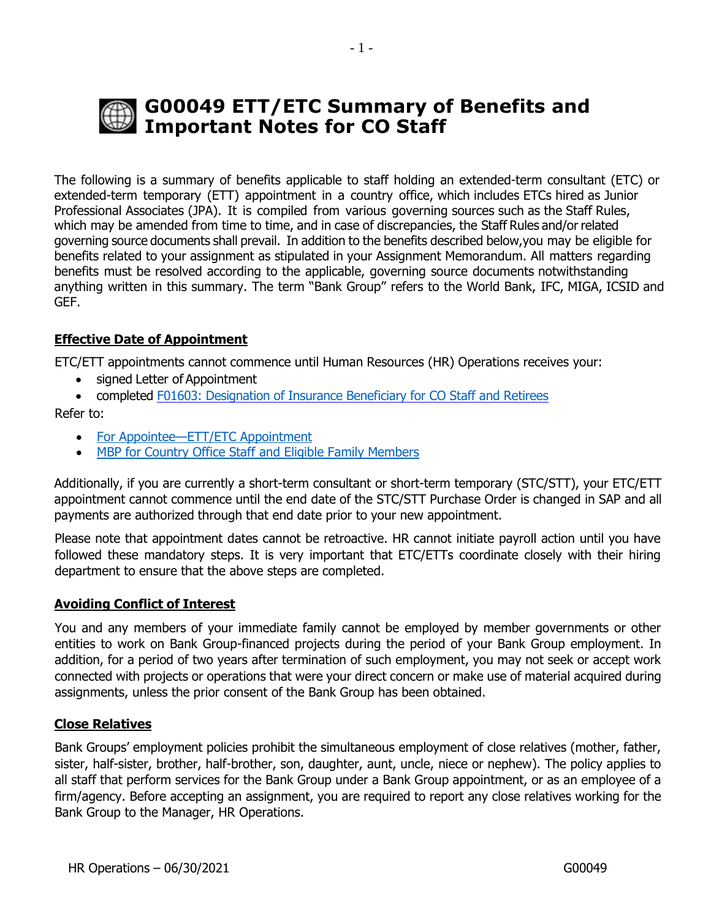# **G00049 ETT/ETC Summary of Benefits and Important Notes for CO Staff**

The following is a summary of benefits applicable to staff holding an extended-term consultant (ETC) or extended-term temporary (ETT) appointment in a country office, which includes ETCs hired as Junior Professional Associates (JPA). It is compiled from various governing sources such as the Staff Rules, which may be amended from time to time, and in case of discrepancies, the Staff Rules and/or related governing source documents shall prevail. In addition to the benefits described below,you may be eligible for benefits related to your assignment as stipulated in your Assignment Memorandum. All matters regarding benefits must be resolved according to the applicable, governing source documents notwithstanding anything written in this summary. The term "Bank Group" refers to the World Bank, IFC, MIGA, ICSID and GEF.

# **Effective Date of Appointment**

ETC/ETT appointments cannot commence until Human Resources (HR) Operations receives your:

- signed Letter of Appointment
- completed [F01603: Designation of Insurance Beneficiary for CO Staff and Retirees](http://pubdocs.worldbank.org/en/212531553406742444/designate-or-update-insurance-beneficiary.pdf)

Refer to:

- For Appointee—ETT/ETC [Appointment](http://www.worldbank.org/en/about/unit/human-resources/for-appointee-checklist-for-new-etc-etts-in-headquarters)
- MBP for Country Office Staff and Eligible Family [Members](http://www.worldbank.org/en/about/unit/human-resources/medical-benefits-plan-mbp-for-country-office-staff-and-eligible-family-members)

Additionally, if you are currently a short-term consultant or short-term temporary (STC/STT), your ETC/ETT appointment cannot commence until the end date of the STC/STT Purchase Order is changed in SAP and all payments are authorized through that end date prior to your new appointment.

Please note that appointment dates cannot be retroactive. HR cannot initiate payroll action until you have followed these mandatory steps. It is very important that ETC/ETTs coordinate closely with their hiring department to ensure that the above steps are completed.

### **Avoiding Conflict of Interest**

You and any members of your immediate family cannot be employed by member governments or other entities to work on Bank Group-financed projects during the period of your Bank Group employment. In addition, for a period of two years after termination of such employment, you may not seek or accept work connected with projects or operations that were your direct concern or make use of material acquired during assignments, unless the prior consent of the Bank Group has been obtained.

# **Close Relatives**

Bank Groups' employment policies prohibit the simultaneous employment of close relatives (mother, father, sister, half-sister, brother, half-brother, son, daughter, aunt, uncle, niece or nephew). The policy applies to all staff that perform services for the Bank Group under a Bank Group appointment, or as an employee of a firm/agency. Before accepting an assignment, you are required to report any close relatives working for the Bank Group to the Manager, HR Operations.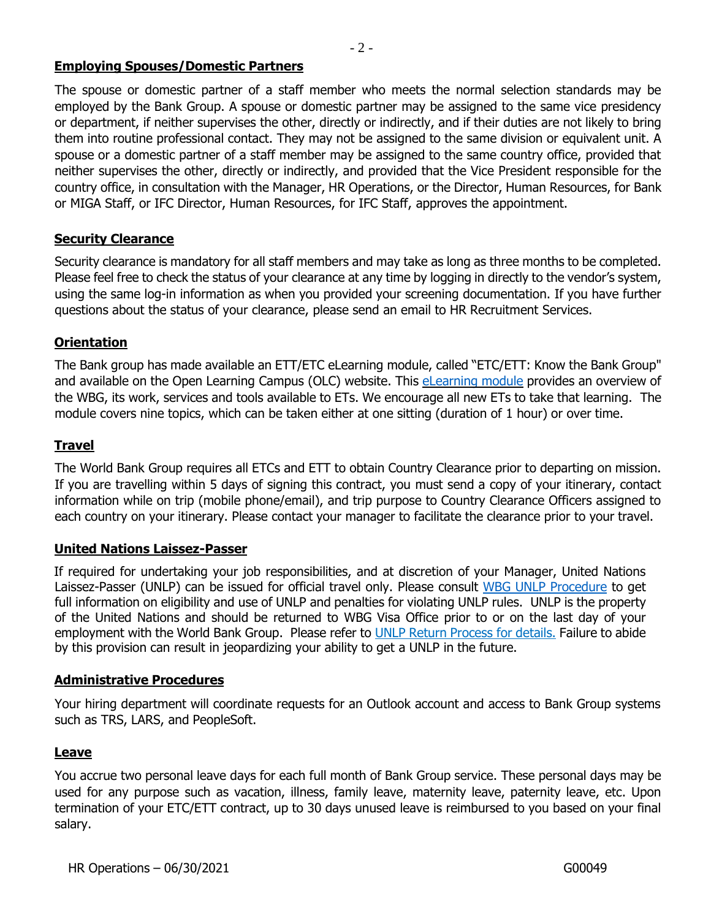### **Employing Spouses/Domestic Partners**

The spouse or domestic partner of a staff member who meets the normal selection standards may be employed by the Bank Group. A spouse or domestic partner may be assigned to the same vice presidency or department, if neither supervises the other, directly or indirectly, and if their duties are not likely to bring them into routine professional contact. They may not be assigned to the same division or equivalent unit. A spouse or a domestic partner of a staff member may be assigned to the same country office, provided that neither supervises the other, directly or indirectly, and provided that the Vice President responsible for the country office, in consultation with the Manager, HR Operations, or the Director, Human Resources, for Bank or MIGA Staff, or IFC Director, Human Resources, for IFC Staff, approves the appointment.

### **Security Clearance**

Security clearance is mandatory for all staff members and may take as long as three months to be completed. Please feel free to check the status of your clearance at any time by logging in directly to the vendor's system, using the same log-in information as when you provided your screening documentation. If you have further questions about the status of your clearance, please send an email to HR Recruitment Services.

### **Orientation**

The Bank group has made available an ETT/ETC eLearning module, called "ETC/ETT: Know the Bank Group" and available on the Open Learning Campus (OLC) website. This *[eLearning](https://wbg.sabacloud.com/Saba/Web_spf/NA1PRD0002/common/ledetail/00037194) module* provides an overview of the WBG, its work, services and tools available to ETs. We encourage all new ETs to take that learning. The module covers nine topics, which can be taken either at one sitting (duration of 1 hour) or over time.

### **Travel**

The World Bank Group requires all ETCs and ETT to obtain Country Clearance prior to departing on mission. If you are travelling within 5 days of signing this contract, you must send a copy of your itinerary, contact information while on trip (mobile phone/email), and trip purpose to Country Clearance Officers assigned to each country on your itinerary. Please contact your manager to facilitate the clearance prior to your travel.

### **United Nations Laissez-Passer**

If required for undertaking your job responsibilities, and at discretion of your Manager, United Nations Laissez-Passer (UNLP) can be issued for official travel only. Please consult [WBG UNLP Procedure](https://spappscsec.worldbank.org/sites/ppf3/PPFDocuments/Forms/DispPage.aspx?docid=003c365e-1e8c-480e-81f9-9dd43a8dc04d) to get full information on eligibility and use of UNLP and penalties for violating UNLP rules. UNLP is the property of the United Nations and should be returned to WBG Visa Office prior to or on the last day of your employment with the World Bank Group. Please refer to UNLP Return [Process](https://worldbankgroup.service-now.com/wbg?id=wbg_sc_catalog&sys_id=cd8b5327db540c102e3ec3af29961909) for details. Failure to abide by this provision can result in jeopardizing your ability to get a UNLP in the future.

#### **Administrative Procedures**

Your hiring department will coordinate requests for an Outlook account and access to Bank Group systems such as TRS, LARS, and PeopleSoft.

### **Leave**

You accrue two personal leave days for each full month of Bank Group service. These personal days may be used for any purpose such as vacation, illness, family leave, maternity leave, paternity leave, etc. Upon termination of your ETC/ETT contract, up to 30 days unused leave is reimbursed to you based on your final salary.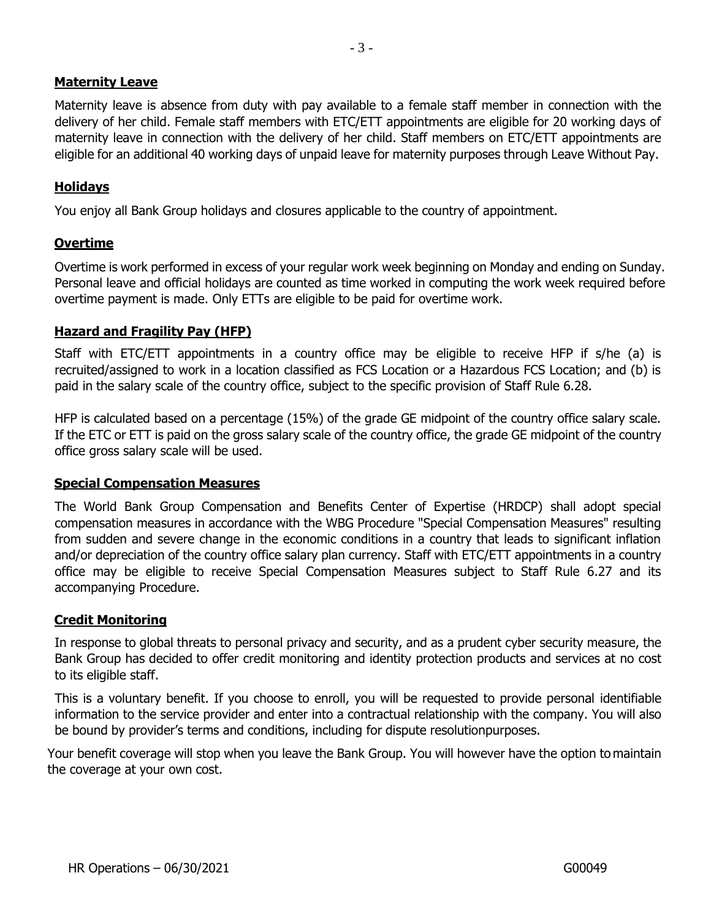### **Maternity Leave**

Maternity leave is absence from duty with pay available to a female staff member in connection with the delivery of her child. Female staff members with ETC/ETT appointments are eligible for 20 working days of maternity leave in connection with the delivery of her child. Staff members on ETC/ETT appointments are eligible for an additional 40 working days of unpaid leave for maternity purposes through Leave Without Pay.

### **Holidays**

You enjoy all Bank Group holidays and closures applicable to the country of appointment.

### **Overtime**

Overtime is work performed in excess of your regular work week beginning on Monday and ending on Sunday. Personal leave and official holidays are counted as time worked in computing the work week required before overtime payment is made. Only ETTs are eligible to be paid for overtime work.

### **Hazard and Fragility Pay (HFP)**

Staff with ETC/ETT appointments in a country office may be eligible to receive HFP if s/he (a) is recruited/assigned to work in a location classified as FCS Location or a Hazardous FCS Location; and (b) is paid in the salary scale of the country office, subject to the specific provision of Staff Rule 6.28.

HFP is calculated based on a percentage (15%) of the grade GE midpoint of the country office salary scale. If the ETC or ETT is paid on the gross salary scale of the country office, the grade GE midpoint of the country office gross salary scale will be used.

### **Special Compensation Measures**

The World Bank Group Compensation and Benefits Center of Expertise (HRDCP) shall adopt special compensation measures in accordance with the WBG Procedure "Special Compensation Measures" resulting from sudden and severe change in the economic conditions in a country that leads to significant inflation and/or depreciation of the country office salary plan currency. Staff with ETC/ETT appointments in a country office may be eligible to receive Special Compensation Measures subject to Staff Rule 6.27 and its accompanying Procedure.

### **Credit Monitoring**

In response to global threats to personal privacy and security, and as a prudent cyber security measure, the Bank Group has decided to offer credit monitoring and identity protection products and services at no cost to its eligible staff.

This is a voluntary benefit. If you choose to enroll, you will be requested to provide personal identifiable information to the service provider and enter into a contractual relationship with the company. You will also be bound by provider's terms and conditions, including for dispute resolutionpurposes.

Your benefit coverage will stop when you leave the Bank Group. You will however have the option to maintain the coverage at your own cost.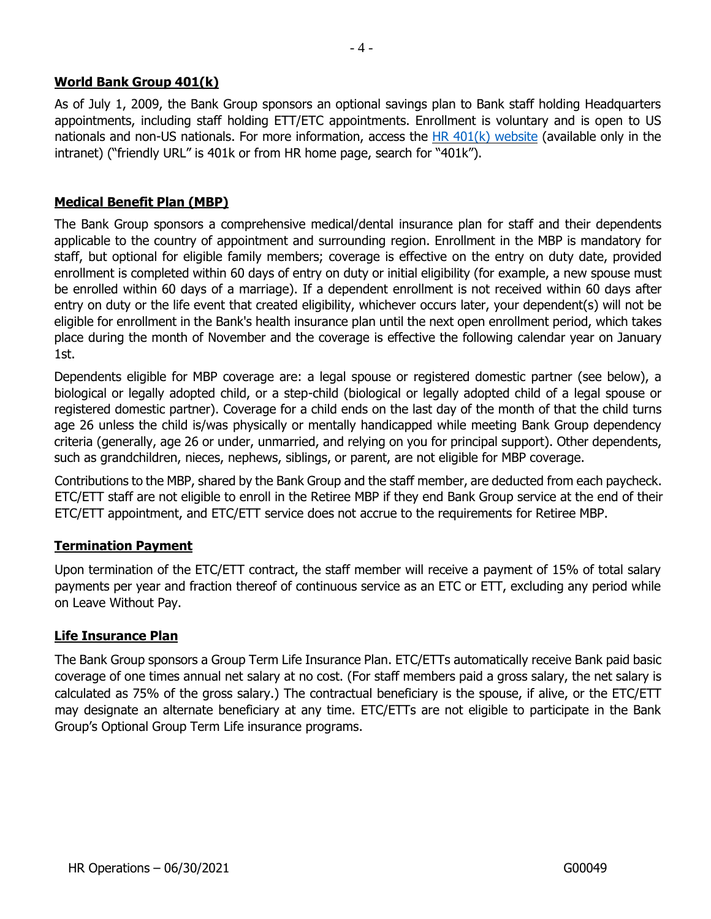# **World Bank Group 401(k)**

As of July 1, 2009, the Bank Group sponsors an optional savings plan to Bank staff holding Headquarters appointments, including staff holding ETT/ETC appointments. Enrollment is voluntary and is open to US nationals and non-US nationals. For more information, access the  $HR 401(k)$  website (available only in the intranet) ("friendly URL" is 401k or from HR home page, search for "401k").

### **Medical Benefit Plan (MBP)**

The Bank Group sponsors a comprehensive medical/dental insurance plan for staff and their dependents applicable to the country of appointment and surrounding region. Enrollment in the MBP is mandatory for staff, but optional for eligible family members; coverage is effective on the entry on duty date, provided enrollment is completed within 60 days of entry on duty or initial eligibility (for example, a new spouse must be enrolled within 60 days of a marriage). If a dependent enrollment is not received within 60 days after entry on duty or the life event that created eligibility, whichever occurs later, your dependent(s) will not be eligible for enrollment in the Bank's health insurance plan until the next open enrollment period, which takes place during the month of November and the coverage is effective the following calendar year on January 1st.

Dependents eligible for MBP coverage are: a legal spouse or registered domestic partner (see below), a biological or legally adopted child, or a step-child (biological or legally adopted child of a legal spouse or registered domestic partner). Coverage for a child ends on the last day of the month of that the child turns age 26 unless the child is/was physically or mentally handicapped while meeting Bank Group dependency criteria (generally, age 26 or under, unmarried, and relying on you for principal support). Other dependents, such as grandchildren, nieces, nephews, siblings, or parent, are not eligible for MBP coverage.

Contributions to the MBP, shared by the Bank Group and the staff member, are deducted from each paycheck. ETC/ETT staff are not eligible to enroll in the Retiree MBP if they end Bank Group service at the end of their ETC/ETT appointment, and ETC/ETT service does not accrue to the requirements for Retiree MBP.

### **Termination Payment**

Upon termination of the ETC/ETT contract, the staff member will receive a payment of 15% of total salary payments per year and fraction thereof of continuous service as an ETC or ETT, excluding any period while on Leave Without Pay.

### **Life Insurance Plan**

The Bank Group sponsors a Group Term Life Insurance Plan. ETC/ETTs automatically receive Bank paid basic coverage of one times annual net salary at no cost. (For staff members paid a gross salary, the net salary is calculated as 75% of the gross salary.) The contractual beneficiary is the spouse, if alive, or the ETC/ETT may designate an alternate beneficiary at any time. ETC/ETTs are not eligible to participate in the Bank Group's Optional Group Term Life insurance programs.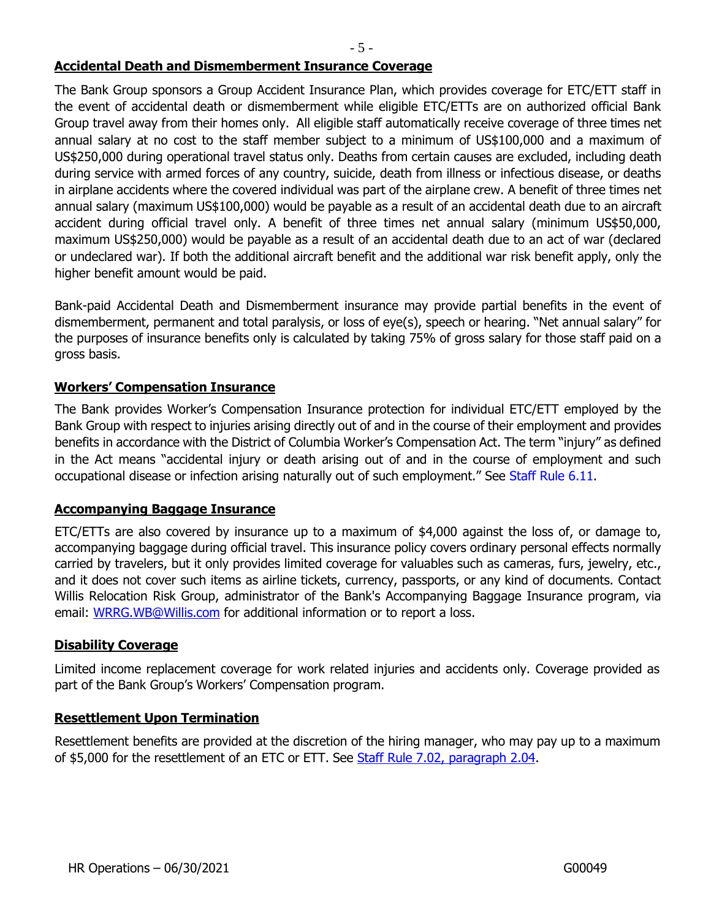### **Accidental Death and Dismemberment Insurance Coverage**

The Bank Group sponsors a Group Accident Insurance Plan, which provides coverage for ETC/ETT staff in the event of accidental death or dismemberment while eligible ETC/ETTs are on authorized official Bank Group travel away from their homes only. All eligible staff automatically receive coverage of three times net annual salary at no cost to the staff member subject to a minimum of US\$100,000 and a maximum of US\$250,000 during operational travel status only. Deaths from certain causes are excluded, including death during service with armed forces of any country, suicide, death from illness or infectious disease, or deaths in airplane accidents where the covered individual was part of the airplane crew. A benefit of three times net annual salary (maximum US\$100,000) would be payable as a result of an accidental death due to an aircraft accident during official travel only. A benefit of three times net annual salary (minimum US\$50,000, maximum US\$250,000) would be payable as a result of an accidental death due to an act of war (declared or undeclared war). If both the additional aircraft benefit and the additional war risk benefit apply, only the higher benefit amount would be paid.

Bank-paid Accidental Death and Dismemberment insurance may provide partial benefits in the event of dismemberment, permanent and total paralysis, or loss of eye(s), speech or hearing. "Net annual salary" for the purposes of insurance benefits only is calculated by taking 75% of gross salary for those staff paid on a gross basis.

### **Workers' Compensation Insurance**

The Bank provides Worker's Compensation Insurance protection for individual ETC/ETT employed by the Bank Group with respect to injuries arising directly out of and in the course of their employment and provides benefits in accordance with the District of Columbia Worker's Compensation Act. The term "injury" as defined in the Act means "accidental injury or death arising out of and in the course of employment and such occupational disease or infection arising naturally out of such employment." See [Staff](https://policies.worldbank.org/sites/ppf3/PPFDocuments/Forms/DispPage.aspx?docid=2645&ver=current) Rule 6.[11.](http://siteresources.worldbank.org/INTSTAFFMANUAL/Resources/StaffManual_WB_web.pdf)

### **Accompanying Baggage Insurance**

ETC/ETTs are also covered by insurance up to a maximum of \$4,000 against the loss of, or damage to, accompanying baggage during official travel. This insurance policy covers ordinary personal effects normally carried by travelers, but it only provides limited coverage for valuables such as cameras, furs, jewelry, etc., and it does not cover such items as airline tickets, currency, passports, or any kind of documents. Contact Willis Relocation Risk Group, administrator of the Bank's Accompanying Baggage Insurance program, via email: [WRRG.WB@Willis.com](mailto:WRRG.WB@Willis.com) for additional information or to report a loss.

#### **Disability Coverage**

Limited income replacement coverage for work related injuries and accidents only. Coverage provided as part of the Bank Group's Workers' Compensation program.

### **Resettlement Upon Termination**

Resettlement benefits are provided at the discretion of the hiring manager, who may pay up to a maximum of \$5,000 for the resettlement of an ETC or ETT. See Staff Rule 7.02, [paragraph 2.0](https://policies.worldbank.org/sites/ppf3/PPFDocuments/Forms/DispPage.aspx?docid=3833&ver=current)[4.](http://siteresources.worldbank.org/INTSTAFFMANUAL/Resources/StaffManual_WB_web.pdf)